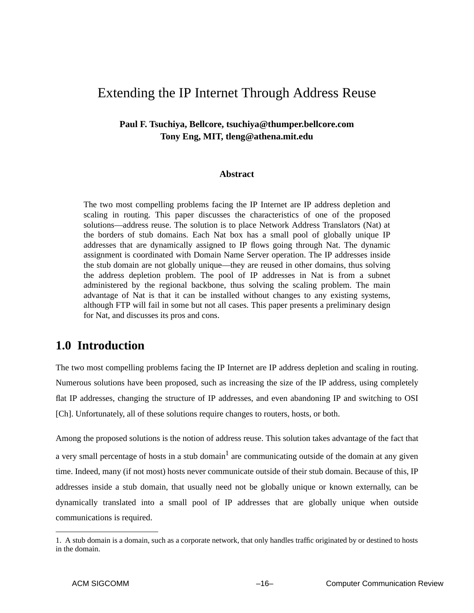# Extending the IP Internet Through Address Reuse

# **Paul F. Tsuchiya, Bellcore, tsuchiya@thumper.bellcore.com Tony Eng, MIT, tleng@athena.mit.edu**

#### **Abstract**

The two most compelling problems facing the IP Internet are IP address depletion and scaling in routing. This paper discusses the characteristics of one of the proposed solutions—address reuse. The solution is to place Network Address Translators (Nat) at the borders of stub domains. Each Nat box has a small pool of globally unique IP addresses that are dynamically assigned to IP flows going through Nat. The dynamic assignment is coordinated with Domain Name Server operation. The IP addresses inside the stub domain are not globally unique—they are reused in other domains, thus solving the address depletion problem. The pool of IP addresses in Nat is from a subnet administered by the regional backbone, thus solving the scaling problem. The main advantage of Nat is that it can be installed without changes to any existing systems, although FTP will fail in some but not all cases. This paper presents a preliminary design for Nat, and discusses its pros and cons.

# **1.0 Introduction**

The two most compelling problems facing the IP Internet are IP address depletion and scaling in routing. Numerous solutions have been proposed, such as increasing the size of the IP address, using completely flat IP addresses, changing the structure of IP addresses, and even abandoning IP and switching to OSI [Ch]. Unfortunately, all of these solutions require changes to routers, hosts, or both.

Among the proposed solutions is the notion of address reuse. This solution takes advantage of the fact that a very small percentage of hosts in a stub domain<sup>1</sup> are communicating outside of the domain at any given time. Indeed, many (if not most) hosts never communicate outside of their stub domain. Because of this, IP addresses inside a stub domain, that usually need not be globally unique or known externally, can be dynamically translated into a small pool of IP addresses that are globally unique when outside communications is required.

<sup>1.</sup> A stub domain is a domain, such as a corporate network, that only handles traffic originated by or destined to hosts in the domain.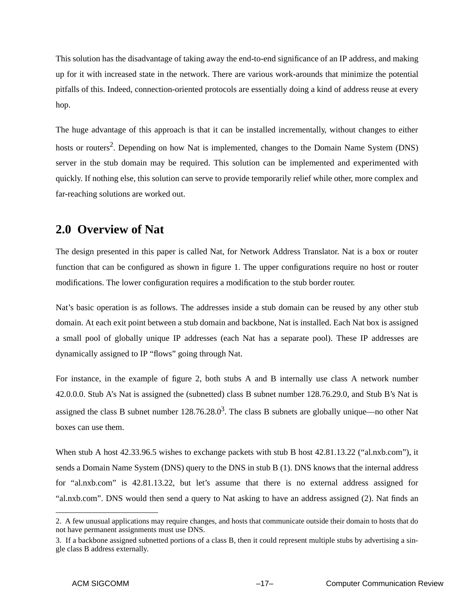This solution has the disadvantage of taking away the end-to-end significance of an IP address, and making up for it with increased state in the network. There are various work-arounds that minimize the potential pitfalls of this. Indeed, connection-oriented protocols are essentially doing a kind of address reuse at every hop.

The huge advantage of this approach is that it can be installed incrementally, without changes to either hosts or routers<sup>2</sup>. Depending on how Nat is implemented, changes to the Domain Name System (DNS) server in the stub domain may be required. This solution can be implemented and experimented with quickly. If nothing else, this solution can serve to provide temporarily relief while other, more complex and far-reaching solutions are worked out.

# **2.0 Overview of Nat**

The design presented in this paper is called Nat, for Network Address Translator. Nat is a box or router function that can be configured as shown in figure 1. The upper configurations require no host or router modifications. The lower configuration requires a modification to the stub border router.

Nat's basic operation is as follows. The addresses inside a stub domain can be reused by any other stub domain. At each exit point between a stub domain and backbone, Nat is installed. Each Nat box is assigned a small pool of globally unique IP addresses (each Nat has a separate pool). These IP addresses are dynamically assigned to IP "flows" going through Nat.

For instance, in the example of figure 2, both stubs A and B internally use class A network number 42.0.0.0. Stub A's Nat is assigned the (subnetted) class B subnet number 128.76.29.0, and Stub B's Nat is assigned the class B subnet number  $128.76.28.0<sup>3</sup>$ . The class B subnets are globally unique—no other Nat boxes can use them.

When stub A host 42.33.96.5 wishes to exchange packets with stub B host 42.81.13.22 ("al.nxb.com"), it sends a Domain Name System (DNS) query to the DNS in stub B (1). DNS knows that the internal address for "al.nxb.com" is 42.81.13.22, but let's assume that there is no external address assigned for "al.nxb.com". DNS would then send a query to Nat asking to have an address assigned (2). Nat finds an

<sup>2.</sup> A few unusual applications may require changes, and hosts that communicate outside their domain to hosts that do not have permanent assignments must use DNS.

<sup>3.</sup> If a backbone assigned subnetted portions of a class B, then it could represent multiple stubs by advertising a single class B address externally.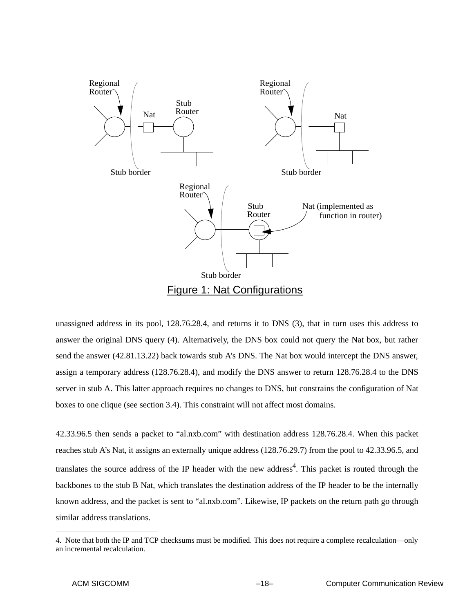

unassigned address in its pool, 128.76.28.4, and returns it to DNS (3), that in turn uses this address to answer the original DNS query (4). Alternatively, the DNS box could not query the Nat box, but rather send the answer (42.81.13.22) back towards stub A's DNS. The Nat box would intercept the DNS answer, assign a temporary address (128.76.28.4), and modify the DNS answer to return 128.76.28.4 to the DNS server in stub A. This latter approach requires no changes to DNS, but constrains the configuration of Nat boxes to one clique (see section 3.4). This constraint will not affect most domains.

42.33.96.5 then sends a packet to "al.nxb.com" with destination address 128.76.28.4. When this packet reaches stub A's Nat, it assigns an externally unique address (128.76.29.7) from the pool to 42.33.96.5, and translates the source address of the IP header with the new address<sup>4</sup>. This packet is routed through the backbones to the stub B Nat, which translates the destination address of the IP header to be the internally known address, and the packet is sent to "al.nxb.com". Likewise, IP packets on the return path go through similar address translations.

<sup>4.</sup> Note that both the IP and TCP checksums must be modified. This does not require a complete recalculation—only an incremental recalculation.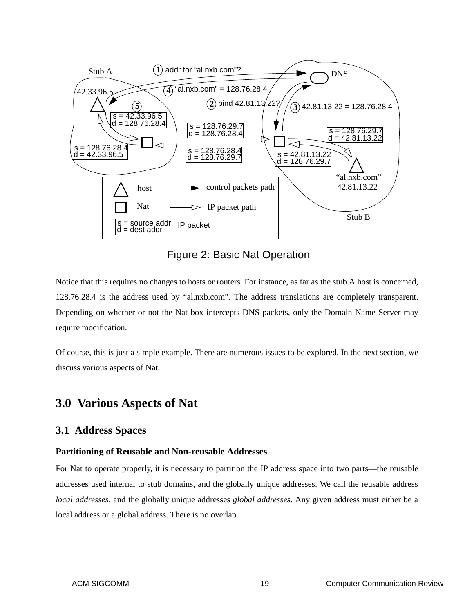

Figure 2: Basic Nat Operation

Notice that this requires no changes to hosts or routers. For instance, as far as the stub A host is concerned, 128.76.28.4 is the address used by "al.nxb.com". The address translations are completely transparent. Depending on whether or not the Nat box intercepts DNS packets, only the Domain Name Server may require modification.

Of course, this is just a simple example. There are numerous issues to be explored. In the next section, we discuss various aspects of Nat.

# **3.0 Various Aspects of Nat**

## **3.1 Address Spaces**

### **Partitioning of Reusable and Non-reusable Addresses**

For Nat to operate properly, it is necessary to partition the IP address space into two parts—the reusable addresses used internal to stub domains, and the globally unique addresses. We call the reusable address *local addresses*, and the globally unique addresses *global addresses*. Any given address must either be a local address or a global address. There is no overlap.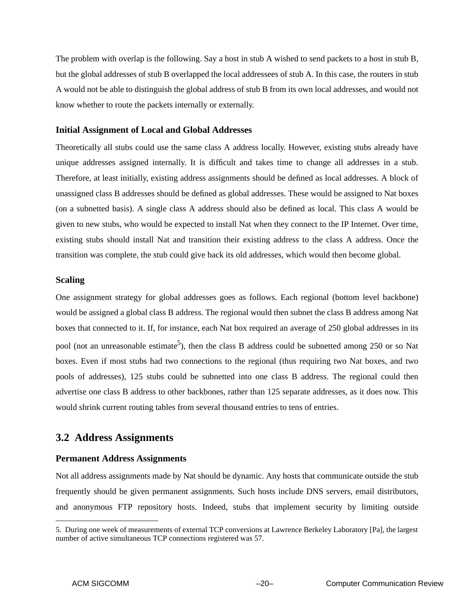The problem with overlap is the following. Say a host in stub A wished to send packets to a host in stub B, but the global addresses of stub B overlapped the local addressees of stub A. In this case, the routers in stub A would not be able to distinguish the global address of stub B from its own local addresses, and would not know whether to route the packets internally or externally.

#### **Initial Assignment of Local and Global Addresses**

Theoretically all stubs could use the same class A address locally. However, existing stubs already have unique addresses assigned internally. It is difficult and takes time to change all addresses in a stub. Therefore, at least initially, existing address assignments should be defined as local addresses. A block of unassigned class B addresses should be defined as global addresses. These would be assigned to Nat boxes (on a subnetted basis). A single class A address should also be defined as local. This class A would be given to new stubs, who would be expected to install Nat when they connect to the IP Internet. Over time, existing stubs should install Nat and transition their existing address to the class A address. Once the transition was complete, the stub could give back its old addresses, which would then become global.

#### **Scaling**

One assignment strategy for global addresses goes as follows. Each regional (bottom level backbone) would be assigned a global class B address. The regional would then subnet the class B address among Nat boxes that connected to it. If, for instance, each Nat box required an average of 250 global addresses in its pool (not an unreasonable estimate<sup>5</sup>), then the class B address could be subnetted among 250 or so Nat boxes. Even if most stubs had two connections to the regional (thus requiring two Nat boxes, and two pools of addresses), 125 stubs could be subnetted into one class B address. The regional could then advertise one class B address to other backbones, rather than 125 separate addresses, as it does now. This would shrink current routing tables from several thousand entries to tens of entries.

# **3.2 Address Assignments**

### **Permanent Address Assignments**

Not all address assignments made by Nat should be dynamic. Any hosts that communicate outside the stub frequently should be given permanent assignments. Such hosts include DNS servers, email distributors, and anonymous FTP repository hosts. Indeed, stubs that implement security by limiting outside

<sup>5.</sup> During one week of measurements of external TCP conversions at Lawrence Berkeley Laboratory [Pa], the largest number of active simultaneous TCP connections registered was 57.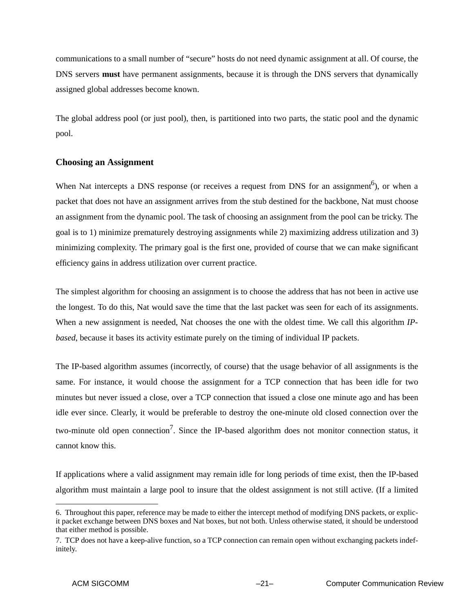communications to a small number of "secure" hosts do not need dynamic assignment at all. Of course, the DNS servers **must** have permanent assignments, because it is through the DNS servers that dynamically assigned global addresses become known.

The global address pool (or just pool), then, is partitioned into two parts, the static pool and the dynamic pool.

#### **Choosing an Assignment**

When Nat intercepts a DNS response (or receives a request from DNS for an assignment<sup>6</sup>), or when a packet that does not have an assignment arrives from the stub destined for the backbone, Nat must choose an assignment from the dynamic pool. The task of choosing an assignment from the pool can be tricky. The goal is to 1) minimize prematurely destroying assignments while 2) maximizing address utilization and 3) minimizing complexity. The primary goal is the first one, provided of course that we can make significant efficiency gains in address utilization over current practice.

The simplest algorithm for choosing an assignment is to choose the address that has not been in active use the longest. To do this, Nat would save the time that the last packet was seen for each of its assignments. When a new assignment is needed, Nat chooses the one with the oldest time. We call this algorithm *IPbased*, because it bases its activity estimate purely on the timing of individual IP packets.

The IP-based algorithm assumes (incorrectly, of course) that the usage behavior of all assignments is the same. For instance, it would choose the assignment for a TCP connection that has been idle for two minutes but never issued a close, over a TCP connection that issued a close one minute ago and has been idle ever since. Clearly, it would be preferable to destroy the one-minute old closed connection over the two-minute old open connection<sup>7</sup>. Since the IP-based algorithm does not monitor connection status, it cannot know this.

If applications where a valid assignment may remain idle for long periods of time exist, then the IP-based algorithm must maintain a large pool to insure that the oldest assignment is not still active. (If a limited

<sup>6.</sup> Throughout this paper, reference may be made to either the intercept method of modifying DNS packets, or explicit packet exchange between DNS boxes and Nat boxes, but not both. Unless otherwise stated, it should be understood that either method is possible.

<sup>7.</sup> TCP does not have a keep-alive function, so a TCP connection can remain open without exchanging packets indefinitely.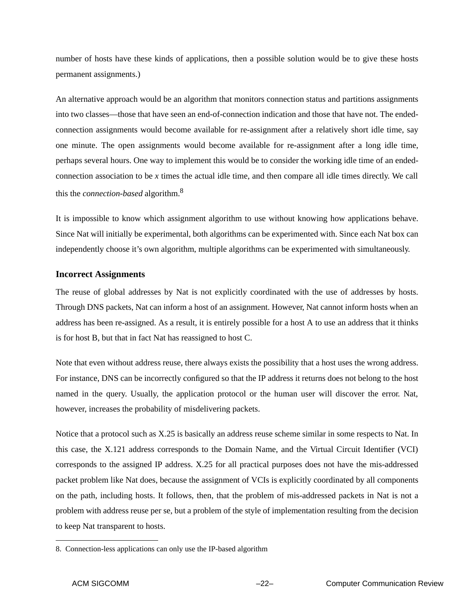number of hosts have these kinds of applications, then a possible solution would be to give these hosts permanent assignments.)

An alternative approach would be an algorithm that monitors connection status and partitions assignments into two classes—those that have seen an end-of-connection indication and those that have not. The endedconnection assignments would become available for re-assignment after a relatively short idle time, say one minute. The open assignments would become available for re-assignment after a long idle time, perhaps several hours. One way to implement this would be to consider the working idle time of an endedconnection association to be *x* times the actual idle time, and then compare all idle times directly. We call this the *connection-based* algorithm.<sup>8</sup>

It is impossible to know which assignment algorithm to use without knowing how applications behave. Since Nat will initially be experimental, both algorithms can be experimented with. Since each Nat box can independently choose it's own algorithm, multiple algorithms can be experimented with simultaneously.

### **Incorrect Assignments**

The reuse of global addresses by Nat is not explicitly coordinated with the use of addresses by hosts. Through DNS packets, Nat can inform a host of an assignment. However, Nat cannot inform hosts when an address has been re-assigned. As a result, it is entirely possible for a host A to use an address that it thinks is for host B, but that in fact Nat has reassigned to host C.

Note that even without address reuse, there always exists the possibility that a host uses the wrong address. For instance, DNS can be incorrectly configured so that the IP address it returns does not belong to the host named in the query. Usually, the application protocol or the human user will discover the error. Nat, however, increases the probability of misdelivering packets.

Notice that a protocol such as X.25 is basically an address reuse scheme similar in some respects to Nat. In this case, the X.121 address corresponds to the Domain Name, and the Virtual Circuit Identifier (VCI) corresponds to the assigned IP address. X.25 for all practical purposes does not have the mis-addressed packet problem like Nat does, because the assignment of VCIs is explicitly coordinated by all components on the path, including hosts. It follows, then, that the problem of mis-addressed packets in Nat is not a problem with address reuse per se, but a problem of the style of implementation resulting from the decision to keep Nat transparent to hosts.

<sup>8.</sup> Connection-less applications can only use the IP-based algorithm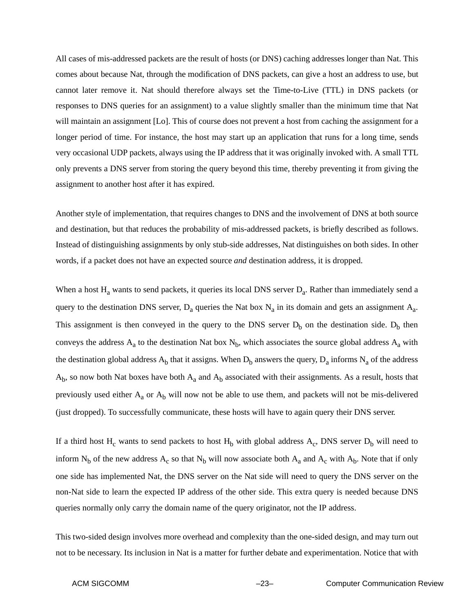All cases of mis-addressed packets are the result of hosts (or DNS) caching addresses longer than Nat. This comes about because Nat, through the modification of DNS packets, can give a host an address to use, but cannot later remove it. Nat should therefore always set the Time-to-Live (TTL) in DNS packets (or responses to DNS queries for an assignment) to a value slightly smaller than the minimum time that Nat will maintain an assignment [Lo]. This of course does not prevent a host from caching the assignment for a longer period of time. For instance, the host may start up an application that runs for a long time, sends very occasional UDP packets, always using the IP address that it was originally invoked with. A small TTL only prevents a DNS server from storing the query beyond this time, thereby preventing it from giving the assignment to another host after it has expired.

Another style of implementation, that requires changes to DNS and the involvement of DNS at both source and destination, but that reduces the probability of mis-addressed packets, is briefly described as follows. Instead of distinguishing assignments by only stub-side addresses, Nat distinguishes on both sides. In other words, if a packet does not have an expected source *and* destination address, it is dropped.

When a host  $H_a$  wants to send packets, it queries its local DNS server  $D_a$ . Rather than immediately send a query to the destination DNS server,  $D_a$  queries the Nat box  $N_a$  in its domain and gets an assignment  $A_a$ . This assignment is then conveyed in the query to the DNS server  $D_b$  on the destination side.  $D_b$  then conveys the address  $A_a$  to the destination Nat box  $N_b$ , which associates the source global address  $A_a$  with the destination global address  $A_b$  that it assigns. When  $D_b$  answers the query,  $D_a$  informs  $N_a$  of the address  $A_b$ , so now both Nat boxes have both  $A_a$  and  $A_b$  associated with their assignments. As a result, hosts that previously used either  $A_a$  or  $A_b$  will now not be able to use them, and packets will not be mis-delivered (just dropped). To successfully communicate, these hosts will have to again query their DNS server.

If a third host  $H_c$  wants to send packets to host  $H_b$  with global address  $A_c$ , DNS server  $D_b$  will need to inform  $N_b$  of the new address  $A_c$  so that  $N_b$  will now associate both  $A_a$  and  $A_c$  with  $A_b$ . Note that if only one side has implemented Nat, the DNS server on the Nat side will need to query the DNS server on the non-Nat side to learn the expected IP address of the other side. This extra query is needed because DNS queries normally only carry the domain name of the query originator, not the IP address.

This two-sided design involves more overhead and complexity than the one-sided design, and may turn out not to be necessary. Its inclusion in Nat is a matter for further debate and experimentation. Notice that with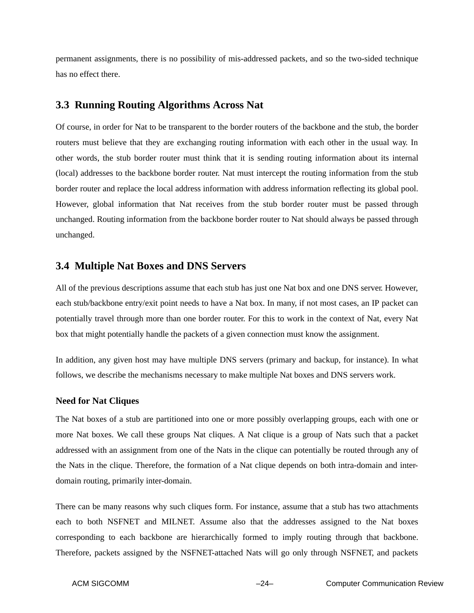permanent assignments, there is no possibility of mis-addressed packets, and so the two-sided technique has no effect there.

## **3.3 Running Routing Algorithms Across Nat**

Of course, in order for Nat to be transparent to the border routers of the backbone and the stub, the border routers must believe that they are exchanging routing information with each other in the usual way. In other words, the stub border router must think that it is sending routing information about its internal (local) addresses to the backbone border router. Nat must intercept the routing information from the stub border router and replace the local address information with address information reflecting its global pool. However, global information that Nat receives from the stub border router must be passed through unchanged. Routing information from the backbone border router to Nat should always be passed through unchanged.

## **3.4 Multiple Nat Boxes and DNS Servers**

All of the previous descriptions assume that each stub has just one Nat box and one DNS server. However, each stub/backbone entry/exit point needs to have a Nat box. In many, if not most cases, an IP packet can potentially travel through more than one border router. For this to work in the context of Nat, every Nat box that might potentially handle the packets of a given connection must know the assignment.

In addition, any given host may have multiple DNS servers (primary and backup, for instance). In what follows, we describe the mechanisms necessary to make multiple Nat boxes and DNS servers work.

### **Need for Nat Cliques**

The Nat boxes of a stub are partitioned into one or more possibly overlapping groups, each with one or more Nat boxes. We call these groups Nat cliques. A Nat clique is a group of Nats such that a packet addressed with an assignment from one of the Nats in the clique can potentially be routed through any of the Nats in the clique. Therefore, the formation of a Nat clique depends on both intra-domain and interdomain routing, primarily inter-domain.

There can be many reasons why such cliques form. For instance, assume that a stub has two attachments each to both NSFNET and MILNET. Assume also that the addresses assigned to the Nat boxes corresponding to each backbone are hierarchically formed to imply routing through that backbone. Therefore, packets assigned by the NSFNET-attached Nats will go only through NSFNET, and packets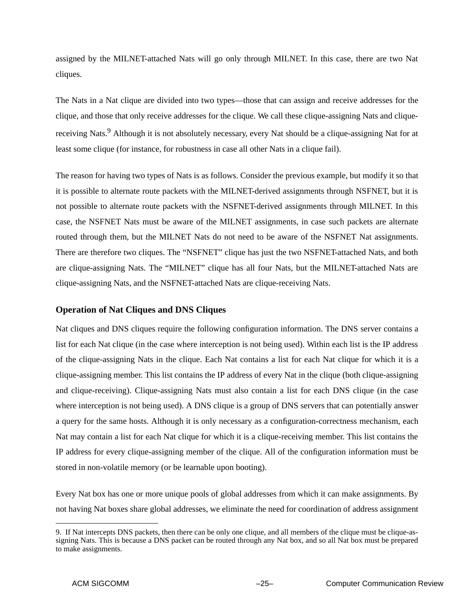assigned by the MILNET-attached Nats will go only through MILNET. In this case, there are two Nat cliques.

The Nats in a Nat clique are divided into two types—those that can assign and receive addresses for the clique, and those that only receive addresses for the clique. We call these clique-assigning Nats and cliquereceiving Nats.<sup>9</sup> Although it is not absolutely necessary, every Nat should be a clique-assigning Nat for at least some clique (for instance, for robustness in case all other Nats in a clique fail).

The reason for having two types of Nats is as follows. Consider the previous example, but modify it so that it is possible to alternate route packets with the MILNET-derived assignments through NSFNET, but it is not possible to alternate route packets with the NSFNET-derived assignments through MILNET. In this case, the NSFNET Nats must be aware of the MILNET assignments, in case such packets are alternate routed through them, but the MILNET Nats do not need to be aware of the NSFNET Nat assignments. There are therefore two cliques. The "NSFNET" clique has just the two NSFNET-attached Nats, and both are clique-assigning Nats. The "MILNET" clique has all four Nats, but the MILNET-attached Nats are clique-assigning Nats, and the NSFNET-attached Nats are clique-receiving Nats.

### **Operation of Nat Cliques and DNS Cliques**

Nat cliques and DNS cliques require the following configuration information. The DNS server contains a list for each Nat clique (in the case where interception is not being used). Within each list is the IP address of the clique-assigning Nats in the clique. Each Nat contains a list for each Nat clique for which it is a clique-assigning member. This list contains the IP address of every Nat in the clique (both clique-assigning and clique-receiving). Clique-assigning Nats must also contain a list for each DNS clique (in the case where interception is not being used). A DNS clique is a group of DNS servers that can potentially answer a query for the same hosts. Although it is only necessary as a configuration-correctness mechanism, each Nat may contain a list for each Nat clique for which it is a clique-receiving member. This list contains the IP address for every clique-assigning member of the clique. All of the configuration information must be stored in non-volatile memory (or be learnable upon booting).

Every Nat box has one or more unique pools of global addresses from which it can make assignments. By not having Nat boxes share global addresses, we eliminate the need for coordination of address assignment

<sup>9.</sup> If Nat intercepts DNS packets, then there can be only one clique, and all members of the clique must be clique-assigning Nats. This is because a DNS packet can be routed through any Nat box, and so all Nat box must be prepared to make assignments.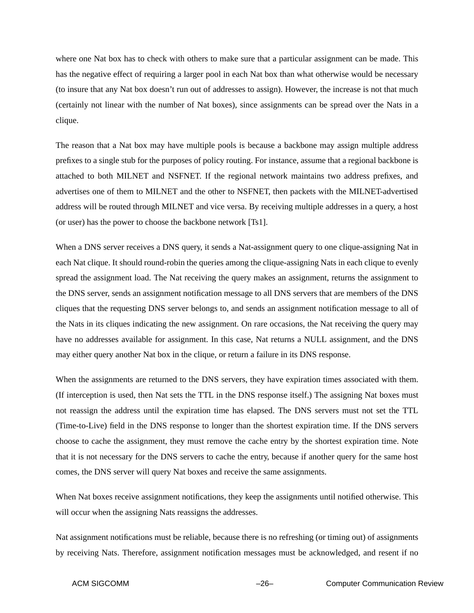where one Nat box has to check with others to make sure that a particular assignment can be made. This has the negative effect of requiring a larger pool in each Nat box than what otherwise would be necessary (to insure that any Nat box doesn't run out of addresses to assign). However, the increase is not that much (certainly not linear with the number of Nat boxes), since assignments can be spread over the Nats in a clique.

The reason that a Nat box may have multiple pools is because a backbone may assign multiple address prefixes to a single stub for the purposes of policy routing. For instance, assume that a regional backbone is attached to both MILNET and NSFNET. If the regional network maintains two address prefixes, and advertises one of them to MILNET and the other to NSFNET, then packets with the MILNET-advertised address will be routed through MILNET and vice versa. By receiving multiple addresses in a query, a host (or user) has the power to choose the backbone network [Ts1].

When a DNS server receives a DNS query, it sends a Nat-assignment query to one clique-assigning Nat in each Nat clique. It should round-robin the queries among the clique-assigning Nats in each clique to evenly spread the assignment load. The Nat receiving the query makes an assignment, returns the assignment to the DNS server, sends an assignment notification message to all DNS servers that are members of the DNS cliques that the requesting DNS server belongs to, and sends an assignment notification message to all of the Nats in its cliques indicating the new assignment. On rare occasions, the Nat receiving the query may have no addresses available for assignment. In this case, Nat returns a NULL assignment, and the DNS may either query another Nat box in the clique, or return a failure in its DNS response.

When the assignments are returned to the DNS servers, they have expiration times associated with them. (If interception is used, then Nat sets the TTL in the DNS response itself.) The assigning Nat boxes must not reassign the address until the expiration time has elapsed. The DNS servers must not set the TTL (Time-to-Live) field in the DNS response to longer than the shortest expiration time. If the DNS servers choose to cache the assignment, they must remove the cache entry by the shortest expiration time. Note that it is not necessary for the DNS servers to cache the entry, because if another query for the same host comes, the DNS server will query Nat boxes and receive the same assignments.

When Nat boxes receive assignment notifications, they keep the assignments until notified otherwise. This will occur when the assigning Nats reassigns the addresses.

Nat assignment notifications must be reliable, because there is no refreshing (or timing out) of assignments by receiving Nats. Therefore, assignment notification messages must be acknowledged, and resent if no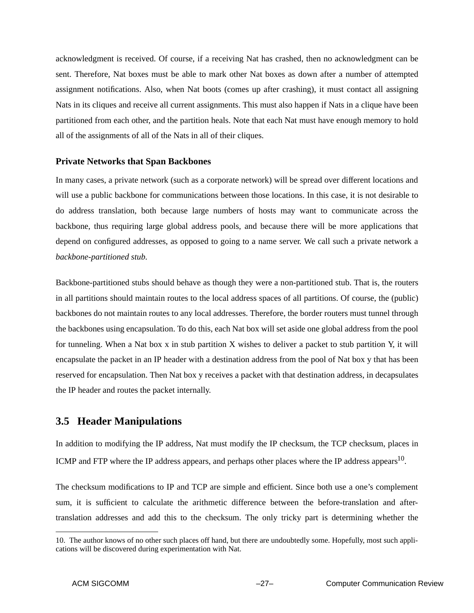acknowledgment is received. Of course, if a receiving Nat has crashed, then no acknowledgment can be sent. Therefore, Nat boxes must be able to mark other Nat boxes as down after a number of attempted assignment notifications. Also, when Nat boots (comes up after crashing), it must contact all assigning Nats in its cliques and receive all current assignments. This must also happen if Nats in a clique have been partitioned from each other, and the partition heals. Note that each Nat must have enough memory to hold all of the assignments of all of the Nats in all of their cliques.

#### **Private Networks that Span Backbones**

In many cases, a private network (such as a corporate network) will be spread over different locations and will use a public backbone for communications between those locations. In this case, it is not desirable to do address translation, both because large numbers of hosts may want to communicate across the backbone, thus requiring large global address pools, and because there will be more applications that depend on configured addresses, as opposed to going to a name server. We call such a private network a *backbone-partitioned stub*.

Backbone-partitioned stubs should behave as though they were a non-partitioned stub. That is, the routers in all partitions should maintain routes to the local address spaces of all partitions. Of course, the (public) backbones do not maintain routes to any local addresses. Therefore, the border routers must tunnel through the backbones using encapsulation. To do this, each Nat box will set aside one global address from the pool for tunneling. When a Nat box x in stub partition X wishes to deliver a packet to stub partition Y, it will encapsulate the packet in an IP header with a destination address from the pool of Nat box y that has been reserved for encapsulation. Then Nat box y receives a packet with that destination address, in decapsulates the IP header and routes the packet internally.

# **3.5 Header Manipulations**

In addition to modifying the IP address, Nat must modify the IP checksum, the TCP checksum, places in ICMP and FTP where the IP address appears, and perhaps other places where the IP address appears<sup>10</sup>.

The checksum modifications to IP and TCP are simple and efficient. Since both use a one's complement sum, it is sufficient to calculate the arithmetic difference between the before-translation and aftertranslation addresses and add this to the checksum. The only tricky part is determining whether the

<sup>10.</sup> The author knows of no other such places off hand, but there are undoubtedly some. Hopefully, most such applications will be discovered during experimentation with Nat.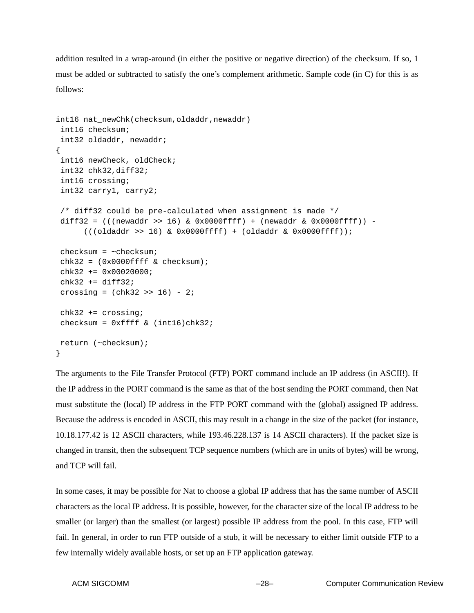addition resulted in a wrap-around (in either the positive or negative direction) of the checksum. If so, 1 must be added or subtracted to satisfy the one's complement arithmetic. Sample code (in C) for this is as follows:

```
int16 nat_newChk(checksum, oldaddr, newaddr)
 int16 checksum;
 int32 oldaddr, newaddr;
{
 int16 newCheck, oldCheck;
 int32 chk32,diff32;
 int16 crossing;
 int32 carry1, carry2;
 /* diff32 could be pre-calculated when assignment is made */
diff32 = (((newaddr >> 16) & 0x0000ffff) + (newaddr & 0x0000ffff) -((\text{oldaddr} >> 16) \& 0x0000ffff) + (\text{oldaddr} \& 0x0000ffff));
checksum = ~\simchecksum;
chk32 = (0x0000ffff & checksum);chk32 += 0x00020000;chk32 += diff32;crossing = (chk32 \gg 16) - 2i chk32 += crossing;
checksum = 0xffff & (int16)chk32; return (~checksum);
}
```
The arguments to the File Transfer Protocol (FTP) PORT command include an IP address (in ASCII!). If the IP address in the PORT command is the same as that of the host sending the PORT command, then Nat must substitute the (local) IP address in the FTP PORT command with the (global) assigned IP address. Because the address is encoded in ASCII, this may result in a change in the size of the packet (for instance, 10.18.177.42 is 12 ASCII characters, while 193.46.228.137 is 14 ASCII characters). If the packet size is changed in transit, then the subsequent TCP sequence numbers (which are in units of bytes) will be wrong, and TCP will fail.

In some cases, it may be possible for Nat to choose a global IP address that has the same number of ASCII characters as the local IP address. It is possible, however, for the character size of the local IP address to be smaller (or larger) than the smallest (or largest) possible IP address from the pool. In this case, FTP will fail. In general, in order to run FTP outside of a stub, it will be necessary to either limit outside FTP to a few internally widely available hosts, or set up an FTP application gateway.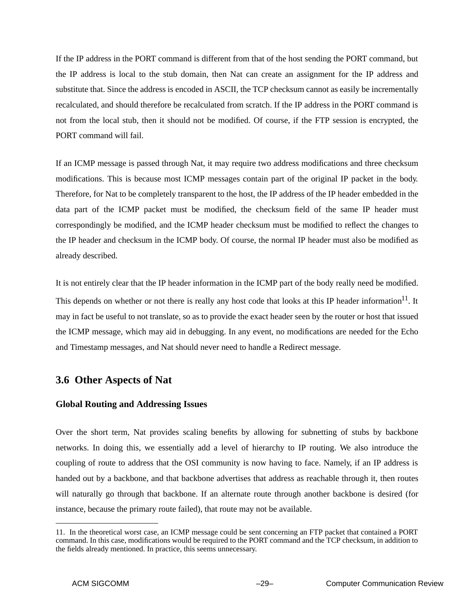If the IP address in the PORT command is different from that of the host sending the PORT command, but the IP address is local to the stub domain, then Nat can create an assignment for the IP address and substitute that. Since the address is encoded in ASCII, the TCP checksum cannot as easily be incrementally recalculated, and should therefore be recalculated from scratch. If the IP address in the PORT command is not from the local stub, then it should not be modified. Of course, if the FTP session is encrypted, the PORT command will fail.

If an ICMP message is passed through Nat, it may require two address modifications and three checksum modifications. This is because most ICMP messages contain part of the original IP packet in the body. Therefore, for Nat to be completely transparent to the host, the IP address of the IP header embedded in the data part of the ICMP packet must be modified, the checksum field of the same IP header must correspondingly be modified, and the ICMP header checksum must be modified to reflect the changes to the IP header and checksum in the ICMP body. Of course, the normal IP header must also be modified as already described.

It is not entirely clear that the IP header information in the ICMP part of the body really need be modified. This depends on whether or not there is really any host code that looks at this IP header information $^{11}$ . It may in fact be useful to not translate, so as to provide the exact header seen by the router or host that issued the ICMP message, which may aid in debugging. In any event, no modifications are needed for the Echo and Timestamp messages, and Nat should never need to handle a Redirect message.

# **3.6 Other Aspects of Nat**

### **Global Routing and Addressing Issues**

Over the short term, Nat provides scaling benefits by allowing for subnetting of stubs by backbone networks. In doing this, we essentially add a level of hierarchy to IP routing. We also introduce the coupling of route to address that the OSI community is now having to face. Namely, if an IP address is handed out by a backbone, and that backbone advertises that address as reachable through it, then routes will naturally go through that backbone. If an alternate route through another backbone is desired (for instance, because the primary route failed), that route may not be available.

<sup>11.</sup> In the theoretical worst case, an ICMP message could be sent concerning an FTP packet that contained a PORT command. In this case, modifications would be required to the PORT command and the TCP checksum, in addition to the fields already mentioned. In practice, this seems unnecessary.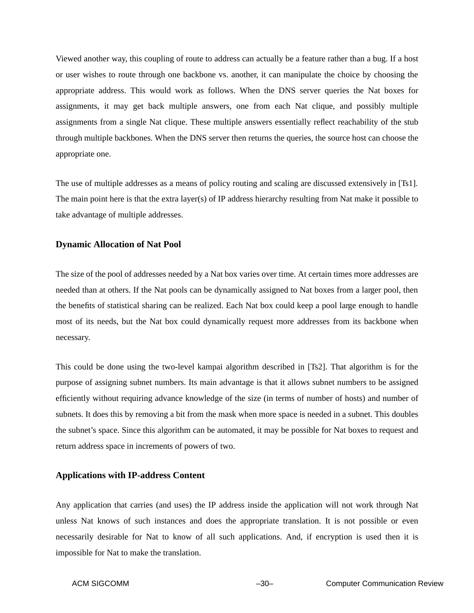Viewed another way, this coupling of route to address can actually be a feature rather than a bug. If a host or user wishes to route through one backbone vs. another, it can manipulate the choice by choosing the appropriate address. This would work as follows. When the DNS server queries the Nat boxes for assignments, it may get back multiple answers, one from each Nat clique, and possibly multiple assignments from a single Nat clique. These multiple answers essentially reflect reachability of the stub through multiple backbones. When the DNS server then returns the queries, the source host can choose the appropriate one.

The use of multiple addresses as a means of policy routing and scaling are discussed extensively in [Ts1]. The main point here is that the extra layer(s) of IP address hierarchy resulting from Nat make it possible to take advantage of multiple addresses.

#### **Dynamic Allocation of Nat Pool**

The size of the pool of addresses needed by a Nat box varies over time. At certain times more addresses are needed than at others. If the Nat pools can be dynamically assigned to Nat boxes from a larger pool, then the benefits of statistical sharing can be realized. Each Nat box could keep a pool large enough to handle most of its needs, but the Nat box could dynamically request more addresses from its backbone when necessary.

This could be done using the two-level kampai algorithm described in [Ts2]. That algorithm is for the purpose of assigning subnet numbers. Its main advantage is that it allows subnet numbers to be assigned efficiently without requiring advance knowledge of the size (in terms of number of hosts) and number of subnets. It does this by removing a bit from the mask when more space is needed in a subnet. This doubles the subnet's space. Since this algorithm can be automated, it may be possible for Nat boxes to request and return address space in increments of powers of two.

#### **Applications with IP-address Content**

Any application that carries (and uses) the IP address inside the application will not work through Nat unless Nat knows of such instances and does the appropriate translation. It is not possible or even necessarily desirable for Nat to know of all such applications. And, if encryption is used then it is impossible for Nat to make the translation.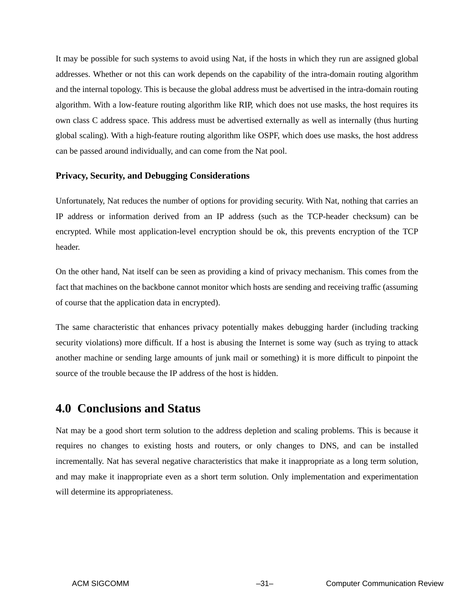It may be possible for such systems to avoid using Nat, if the hosts in which they run are assigned global addresses. Whether or not this can work depends on the capability of the intra-domain routing algorithm and the internal topology. This is because the global address must be advertised in the intra-domain routing algorithm. With a low-feature routing algorithm like RIP, which does not use masks, the host requires its own class C address space. This address must be advertised externally as well as internally (thus hurting global scaling). With a high-feature routing algorithm like OSPF, which does use masks, the host address can be passed around individually, and can come from the Nat pool.

#### **Privacy, Security, and Debugging Considerations**

Unfortunately, Nat reduces the number of options for providing security. With Nat, nothing that carries an IP address or information derived from an IP address (such as the TCP-header checksum) can be encrypted. While most application-level encryption should be ok, this prevents encryption of the TCP header.

On the other hand, Nat itself can be seen as providing a kind of privacy mechanism. This comes from the fact that machines on the backbone cannot monitor which hosts are sending and receiving traffic (assuming of course that the application data in encrypted).

The same characteristic that enhances privacy potentially makes debugging harder (including tracking security violations) more difficult. If a host is abusing the Internet is some way (such as trying to attack another machine or sending large amounts of junk mail or something) it is more difficult to pinpoint the source of the trouble because the IP address of the host is hidden.

# **4.0 Conclusions and Status**

Nat may be a good short term solution to the address depletion and scaling problems. This is because it requires no changes to existing hosts and routers, or only changes to DNS, and can be installed incrementally. Nat has several negative characteristics that make it inappropriate as a long term solution, and may make it inappropriate even as a short term solution. Only implementation and experimentation will determine its appropriateness.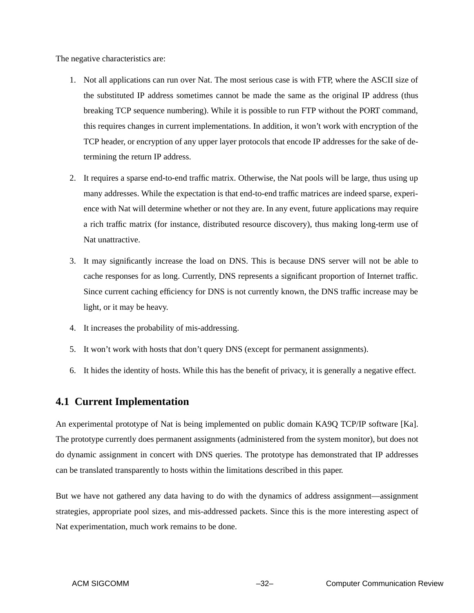The negative characteristics are:

- 1. Not all applications can run over Nat. The most serious case is with FTP, where the ASCII size of the substituted IP address sometimes cannot be made the same as the original IP address (thus breaking TCP sequence numbering). While it is possible to run FTP without the PORT command, this requires changes in current implementations. In addition, it won't work with encryption of the TCP header, or encryption of any upper layer protocols that encode IP addresses for the sake of determining the return IP address.
- 2. It requires a sparse end-to-end traffic matrix. Otherwise, the Nat pools will be large, thus using up many addresses. While the expectation is that end-to-end traffic matrices are indeed sparse, experience with Nat will determine whether or not they are. In any event, future applications may require a rich traffic matrix (for instance, distributed resource discovery), thus making long-term use of Nat unattractive.
- 3. It may significantly increase the load on DNS. This is because DNS server will not be able to cache responses for as long. Currently, DNS represents a significant proportion of Internet traffic. Since current caching efficiency for DNS is not currently known, the DNS traffic increase may be light, or it may be heavy.
- 4. It increases the probability of mis-addressing.
- 5. It won't work with hosts that don't query DNS (except for permanent assignments).
- 6. It hides the identity of hosts. While this has the benefit of privacy, it is generally a negative effect.

# **4.1 Current Implementation**

An experimental prototype of Nat is being implemented on public domain KA9Q TCP/IP software [Ka]. The prototype currently does permanent assignments (administered from the system monitor), but does not do dynamic assignment in concert with DNS queries. The prototype has demonstrated that IP addresses can be translated transparently to hosts within the limitations described in this paper.

But we have not gathered any data having to do with the dynamics of address assignment—assignment strategies, appropriate pool sizes, and mis-addressed packets. Since this is the more interesting aspect of Nat experimentation, much work remains to be done.